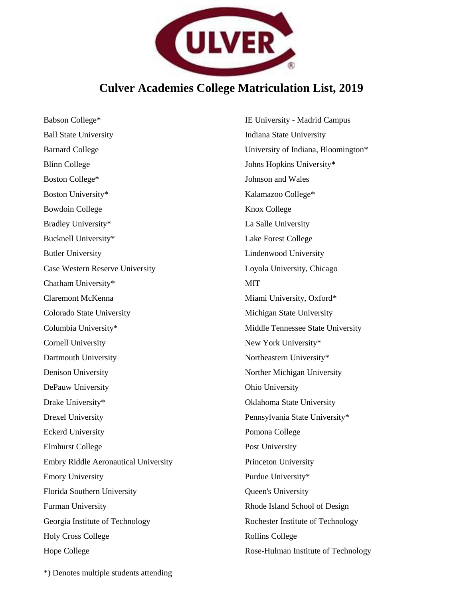

## **Culver Academies College Matriculation List, 2019**

Babson College\* Ball State University Barnard College Blinn College Boston College\* Boston University\* Bowdoin College Bradley University\* Bucknell University\* Butler University Case Western Reserve University Chatham University\* Claremont McKenna Colorado State University Columbia University\* Cornell University Dartmouth University Denison University DePauw University Drake University\* Drexel University Eckerd University Elmhurst College Embry Riddle Aeronautical University Emory University Florida Southern University Furman University Georgia Institute of Technology Holy Cross College Hope College

IE University - Madrid Campus Indiana State University University of Indiana, Bloomington\* Johns Hopkins University\* Johnson and Wales Kalamazoo College\* Knox College La Salle University Lake Forest College Lindenwood University Loyola University, Chicago **MIT** Miami University, Oxford\* Michigan State University Middle Tennessee State University New York University\* Northeastern University\* Norther Michigan University Ohio University Oklahoma State University Pennsylvania State University\* Pomona College Post University Princeton University Purdue University\* Queen's University Rhode Island School of Design Rochester Institute of Technology Rollins College Rose-Hulman Institute of Technology

\*) Denotes multiple students attending